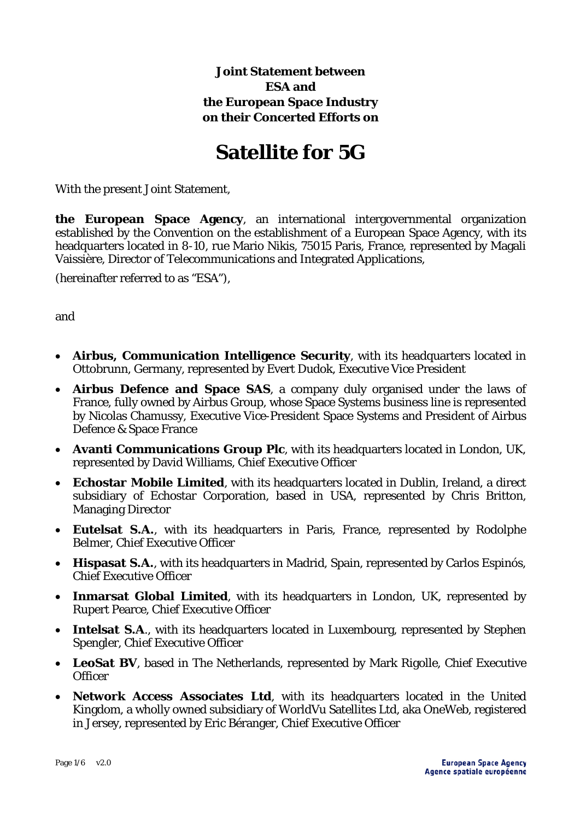## **Joint Statement between ESA and the European Space Industry on their Concerted Efforts on**

## **Satellite for 5G**

With the present Joint Statement,

**the European Space Agency**, an international intergovernmental organization established by the Convention on the establishment of a European Space Agency, with its headquarters located in 8-10, rue Mario Nikis, 75015 Paris, France, represented by Magali Vaissière, Director of Telecommunications and Integrated Applications,

(hereinafter referred to as "ESA"),

and

- **Airbus, Communication Intelligence Security**, with its headquarters located in Ottobrunn, Germany, represented by Evert Dudok, Executive Vice President
- **Airbus Defence and Space SAS**, a company duly organised under the laws of France, fully owned by Airbus Group, whose Space Systems business line is represented by Nicolas Chamussy, Executive Vice-President Space Systems and President of Airbus Defence & Space France
- **Avanti Communications Group Plc**, with its headquarters located in London, UK, represented by David Williams, Chief Executive Officer
- **Echostar Mobile Limited**, with its headquarters located in Dublin, Ireland, a direct subsidiary of Echostar Corporation, based in USA, represented by Chris Britton, Managing Director
- **Eutelsat S.A.**, with its headquarters in Paris, France, represented by Rodolphe Belmer, Chief Executive Officer
- **Hispasat S.A.**, with its headquarters in Madrid, Spain, represented by Carlos Espinós, Chief Executive Officer
- **Inmarsat Global Limited**, with its headquarters in London, UK, represented by Rupert Pearce, Chief Executive Officer
- **Intelsat S.A.**, with its headquarters located in Luxembourg, represented by Stephen Spengler, Chief Executive Officer
- **LeoSat BV**, based in The Netherlands, represented by Mark Rigolle, Chief Executive **Officer**
- **Network Access Associates Ltd**, with its headquarters located in the United Kingdom, a wholly owned subsidiary of WorldVu Satellites Ltd, aka OneWeb, registered in Jersey, represented by Eric Béranger, Chief Executive Officer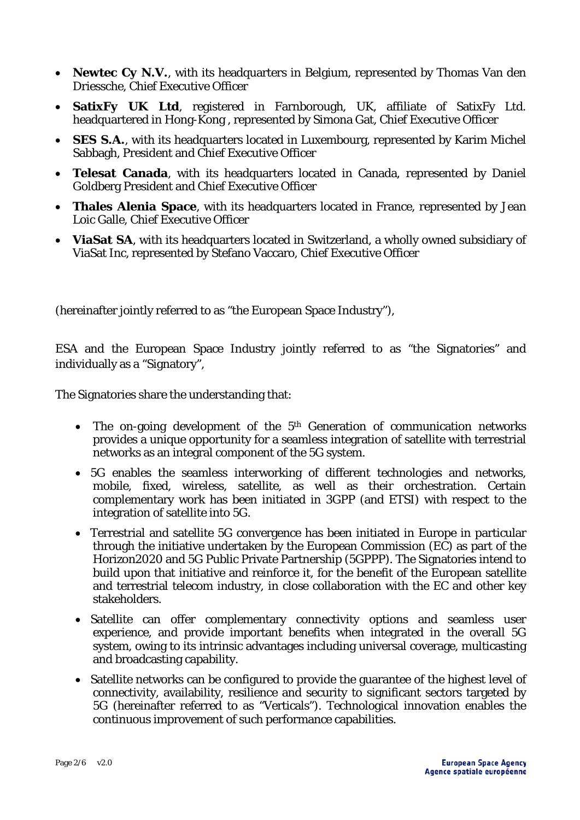- **Newtec Cy N.V.**, with its headquarters in Belgium, represented by Thomas Van den Driessche, Chief Executive Officer
- **SatixFy UK Ltd**, registered in Farnborough, UK, affiliate of SatixFy Ltd. headquartered in Hong-Kong , represented by Simona Gat, Chief Executive Officer
- **SES S.A.**, with its headquarters located in Luxembourg, represented by Karim Michel Sabbagh, President and Chief Executive Officer
- **Telesat Canada**, with its headquarters located in Canada, represented by Daniel Goldberg President and Chief Executive Officer
- **Thales Alenia Space**, with its headquarters located in France, represented by Jean Loic Galle, Chief Executive Officer
- **ViaSat SA**, with its headquarters located in Switzerland, a wholly owned subsidiary of ViaSat Inc, represented by Stefano Vaccaro, Chief Executive Officer

(hereinafter jointly referred to as "the European Space Industry"),

ESA and the European Space Industry jointly referred to as "the Signatories" and individually as a "Signatory",

The Signatories share the understanding that:

- The on-going development of the  $5<sup>th</sup>$  Generation of communication networks provides a unique opportunity for a seamless integration of satellite with terrestrial networks as an integral component of the 5G system.
- 5G enables the seamless interworking of different technologies and networks, mobile, fixed, wireless, satellite, as well as their orchestration. Certain complementary work has been initiated in 3GPP (and ETSI) with respect to the integration of satellite into 5G.
- Terrestrial and satellite 5G convergence has been initiated in Europe in particular through the initiative undertaken by the European Commission (EC) as part of the Horizon2020 and 5G Public Private Partnership (5GPPP). The Signatories intend to build upon that initiative and reinforce it, for the benefit of the European satellite and terrestrial telecom industry, in close collaboration with the EC and other key stakeholders.
- Satellite can offer complementary connectivity options and seamless user experience, and provide important benefits when integrated in the overall 5G system, owing to its intrinsic advantages including universal coverage, multicasting and broadcasting capability.
- Satellite networks can be configured to provide the guarantee of the highest level of connectivity, availability, resilience and security to significant sectors targeted by 5G (hereinafter referred to as "Verticals"). Technological innovation enables the continuous improvement of such performance capabilities.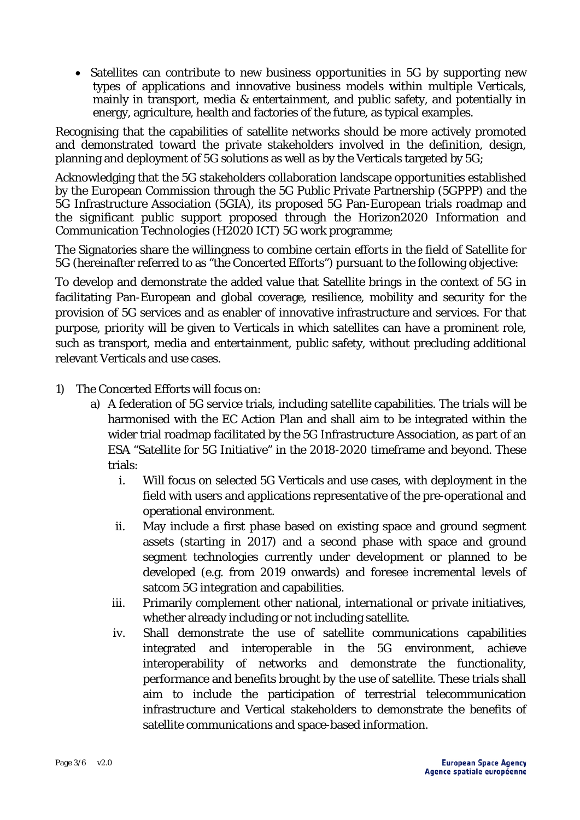• Satellites can contribute to new business opportunities in 5G by supporting new types of applications and innovative business models within multiple Verticals, mainly in transport, media & entertainment, and public safety, and potentially in energy, agriculture, health and factories of the future, as typical examples.

Recognising that the capabilities of satellite networks should be more actively promoted and demonstrated toward the private stakeholders involved in the definition, design, planning and deployment of 5G solutions as well as by the Verticals targeted by 5G;

Acknowledging that the 5G stakeholders collaboration landscape opportunities established by the European Commission through the 5G Public Private Partnership (5GPPP) and the 5G Infrastructure Association (5GIA), its proposed 5G Pan-European trials roadmap and the significant public support proposed through the Horizon2020 Information and Communication Technologies (H2020 ICT) 5G work programme;

The Signatories share the willingness to combine certain efforts in the field of Satellite for 5G (hereinafter referred to as "the Concerted Efforts") pursuant to the following objective:

To develop and demonstrate the added value that Satellite brings in the context of 5G in facilitating Pan-European and global coverage, resilience, mobility and security for the provision of 5G services and as enabler of innovative infrastructure and services. For that purpose, priority will be given to Verticals in which satellites can have a prominent role, such as transport, media and entertainment, public safety, without precluding additional relevant Verticals and use cases.

- 1) The Concerted Efforts will focus on:
	- a) A federation of 5G service trials, including satellite capabilities. The trials will be harmonised with the EC Action Plan and shall aim to be integrated within the wider trial roadmap facilitated by the 5G Infrastructure Association, as part of an ESA "Satellite for 5G Initiative" in the 2018-2020 timeframe and beyond. These trials:
		- i. Will focus on selected 5G Verticals and use cases, with deployment in the field with users and applications representative of the pre-operational and operational environment.
		- ii. May include a first phase based on existing space and ground segment assets (starting in 2017) and a second phase with space and ground segment technologies currently under development or planned to be developed (e.g. from 2019 onwards) and foresee incremental levels of satcom 5G integration and capabilities.
		- iii. Primarily complement other national, international or private initiatives, whether already including or not including satellite.
		- iv. Shall demonstrate the use of satellite communications capabilities integrated and interoperable in the 5G environment, achieve interoperability of networks and demonstrate the functionality, performance and benefits brought by the use of satellite. These trials shall aim to include the participation of terrestrial telecommunication infrastructure and Vertical stakeholders to demonstrate the benefits of satellite communications and space-based information.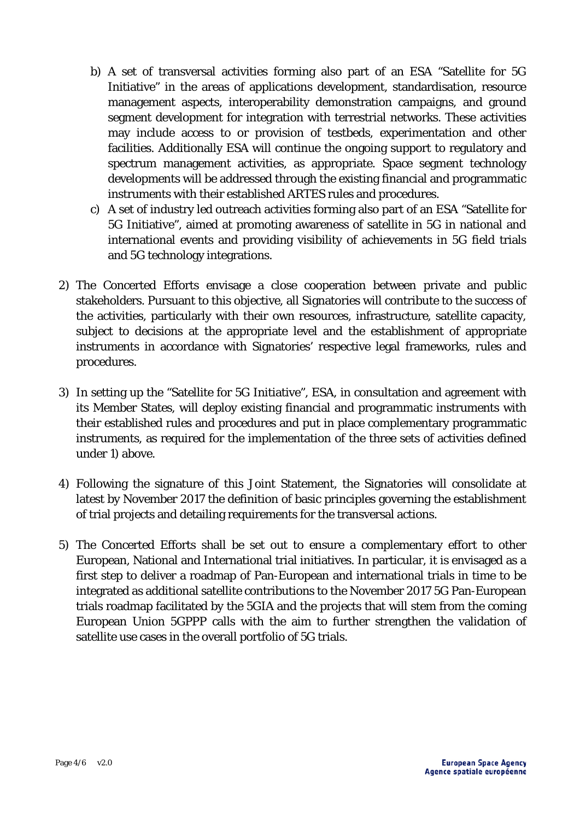- b) A set of transversal activities forming also part of an ESA "Satellite for 5G Initiative" in the areas of applications development, standardisation, resource management aspects, interoperability demonstration campaigns, and ground segment development for integration with terrestrial networks. These activities may include access to or provision of testbeds, experimentation and other facilities*.* Additionally ESA will continue the ongoing support to regulatory and spectrum management activities, as appropriate. Space segment technology developments will be addressed through the existing financial and programmatic instruments with their established ARTES rules and procedures.
- c) A set of industry led outreach activities forming also part of an ESA "Satellite for 5G Initiative", aimed at promoting awareness of satellite in 5G in national and international events and providing visibility of achievements in 5G field trials and 5G technology integrations.
- 2) The Concerted Efforts envisage a close cooperation between private and public stakeholders. Pursuant to this objective, all Signatories will contribute to the success of the activities, particularly with their own resources, infrastructure, satellite capacity, subject to decisions at the appropriate level and the establishment of appropriate instruments in accordance with Signatories' respective legal frameworks, rules and procedures.
- 3) In setting up the "Satellite for 5G Initiative", ESA, in consultation and agreement with its Member States, will deploy existing financial and programmatic instruments with their established rules and procedures and put in place complementary programmatic instruments, as required for the implementation of the three sets of activities defined under 1) above.
- 4) Following the signature of this Joint Statement, the Signatories will consolidate at latest by November 2017 the definition of basic principles governing the establishment of trial projects and detailing requirements for the transversal actions.
- 5) The Concerted Efforts shall be set out to ensure a complementary effort to other European, National and International trial initiatives. In particular, it is envisaged as a first step to deliver a roadmap of Pan-European and international trials in time to be integrated as additional satellite contributions to the November 2017 5G Pan-European trials roadmap facilitated by the 5GIA and the projects that will stem from the coming European Union 5GPPP calls with the aim to further strengthen the validation of satellite use cases in the overall portfolio of 5G trials.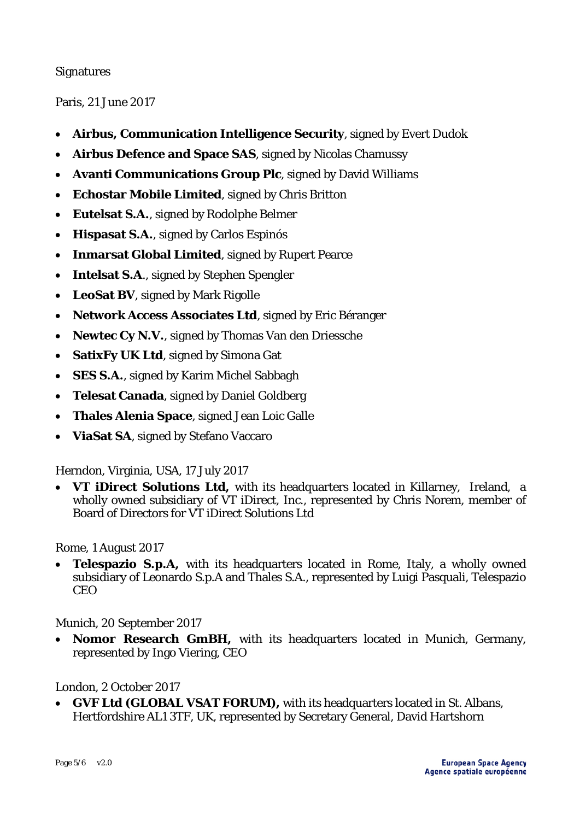## Signatures

Paris, 21 June 2017

- **Airbus, Communication Intelligence Security**, signed by Evert Dudok
- **Airbus Defence and Space SAS**, signed by Nicolas Chamussy
- **Avanti Communications Group Plc**, signed by David Williams
- **Echostar Mobile Limited**, signed by Chris Britton
- **Eutelsat S.A.**, signed by Rodolphe Belmer
- **Hispasat S.A.**, signed by Carlos Espinós
- **Inmarsat Global Limited**, signed by Rupert Pearce
- **Intelsat S.A**., signed by Stephen Spengler
- **LeoSat BV**, signed by Mark Rigolle
- **Network Access Associates Ltd**, signed by Eric Béranger
- **Newtec Cy N.V.**, signed by Thomas Van den Driessche
- **SatixFy UK Ltd**, signed by Simona Gat
- **SES S.A.**, signed by Karim Michel Sabbagh
- **Telesat Canada**, signed by Daniel Goldberg
- **Thales Alenia Space**, signed Jean Loic Galle
- **ViaSat SA**, signed by Stefano Vaccaro

Herndon, Virginia, USA, 17 July 2017

• **VT iDirect Solutions Ltd,** with its headquarters located in Killarney, Ireland, a wholly owned subsidiary of VT iDirect, Inc., represented by Chris Norem, member of Board of Directors for VT iDirect Solutions Ltd

Rome, 1 August 2017

**Telespazio S.p.A,** with its headquarters located in Rome, Italy, a wholly owned subsidiary of Leonardo S.p.A and Thales S.A., represented by Luigi Pasquali, Telespazio CEO

Munich, 20 September 2017

• **Nomor Research GmBH,** with its headquarters located in Munich, Germany, represented by Ingo Viering, CEO

London, 2 October 2017

• **GVF Ltd (GLOBAL VSAT FORUM),** with its headquarters located in St. Albans, Hertfordshire AL1 3TF, UK, represented by Secretary General, David Hartshorn